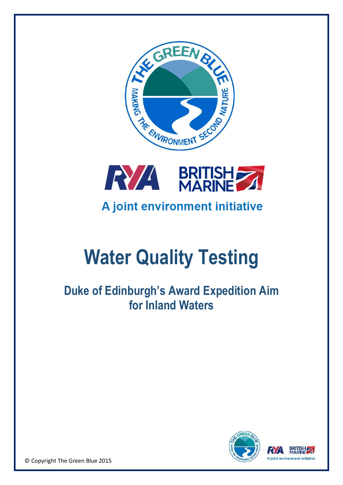



# **Water Quality Testing**

**Duke of Edinburgh's Award Expedition Aim for Inland Waters**



© Copyright The Green Blue 2015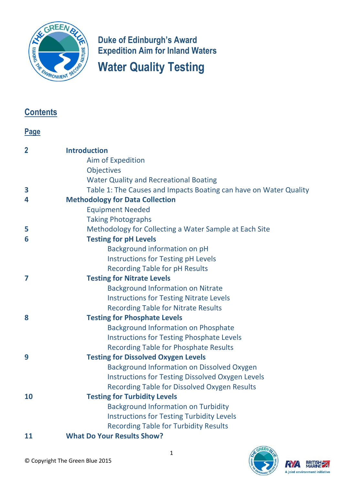

**Duke of Edinburgh's Award Expedition Aim for Inland Waters Water Quality Testing**

# **Contents**

# **Page**

| $\overline{2}$ | <b>Introduction</b>                                               |
|----------------|-------------------------------------------------------------------|
|                | Aim of Expedition                                                 |
|                | <b>Objectives</b>                                                 |
|                | <b>Water Quality and Recreational Boating</b>                     |
| 3              | Table 1: The Causes and Impacts Boating can have on Water Quality |
| 4              | <b>Methodology for Data Collection</b>                            |
|                | <b>Equipment Needed</b>                                           |
|                | <b>Taking Photographs</b>                                         |
| 5              | Methodology for Collecting a Water Sample at Each Site            |
| 6              | <b>Testing for pH Levels</b>                                      |
|                | Background information on pH                                      |
|                | <b>Instructions for Testing pH Levels</b>                         |
|                | <b>Recording Table for pH Results</b>                             |
| 7              | <b>Testing for Nitrate Levels</b>                                 |
|                | <b>Background Information on Nitrate</b>                          |
|                | <b>Instructions for Testing Nitrate Levels</b>                    |
|                | <b>Recording Table for Nitrate Results</b>                        |
| 8              | <b>Testing for Phosphate Levels</b>                               |
|                | <b>Background Information on Phosphate</b>                        |
|                | <b>Instructions for Testing Phosphate Levels</b>                  |
|                | <b>Recording Table for Phosphate Results</b>                      |
| 9              | <b>Testing for Dissolved Oxygen Levels</b>                        |
|                | <b>Background Information on Dissolved Oxygen</b>                 |
|                | <b>Instructions for Testing Dissolved Oxygen Levels</b>           |
|                | <b>Recording Table for Dissolved Oxygen Results</b>               |
| 10             | <b>Testing for Turbidity Levels</b>                               |
|                | <b>Background Information on Turbidity</b>                        |
|                | <b>Instructions for Testing Turbidity Levels</b>                  |
|                | <b>Recording Table for Turbidity Results</b>                      |
| 11             | <b>What Do Your Results Show?</b>                                 |



BRITISH

A joint environment initiative

RYA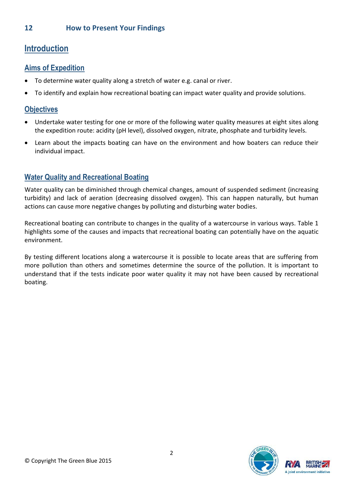# **Introduction**

# **Aims of Expedition**

- To determine water quality along a stretch of water e.g. canal or river.
- To identify and explain how recreational boating can impact water quality and provide solutions.

## **Objectives**

- Undertake water testing for one or more of the following water quality measures at eight sites along the expedition route: acidity (pH level), dissolved oxygen, nitrate, phosphate and turbidity levels.
- Learn about the impacts boating can have on the environment and how boaters can reduce their individual impact.

# **Water Quality and Recreational Boating**

Water quality can be diminished through chemical changes, amount of suspended sediment (increasing turbidity) and lack of aeration (decreasing dissolved oxygen). This can happen naturally, but human actions can cause more negative changes by polluting and disturbing water bodies.

Recreational boating can contribute to changes in the quality of a watercourse in various ways. Table 1 highlights some of the causes and impacts that recreational boating can potentially have on the aquatic environment.

By testing different locations along a watercourse it is possible to locate areas that are suffering from more pollution than others and sometimes determine the source of the pollution. It is important to understand that if the tests indicate poor water quality it may not have been caused by recreational boating.

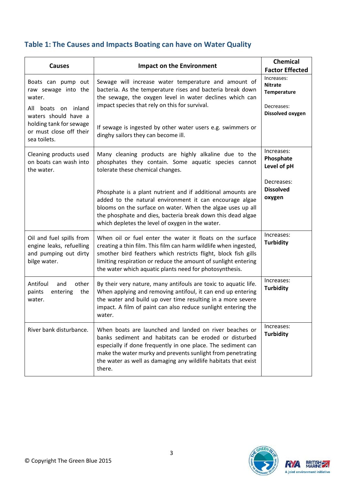# **Table 1: The Causes and Impacts Boating can have on Water Quality**

| <b>Causes</b>                                                                                      | <b>Impact on the Environment</b>                                                                                                                                                                                                                                                                                             | <b>Chemical</b><br><b>Factor Effected</b>                                     |
|----------------------------------------------------------------------------------------------------|------------------------------------------------------------------------------------------------------------------------------------------------------------------------------------------------------------------------------------------------------------------------------------------------------------------------------|-------------------------------------------------------------------------------|
| Boats can pump out<br>raw sewage into the<br>water.<br>All boats on inland<br>waters should have a | Sewage will increase water temperature and amount of<br>bacteria. As the temperature rises and bacteria break down<br>the sewage, the oxygen level in water declines which can<br>impact species that rely on this for survival.                                                                                             | Increases:<br><b>Nitrate</b><br>Temperature<br>Decreases:<br>Dissolved oxygen |
| holding tank for sewage<br>or must close off their<br>sea toilets.                                 | If sewage is ingested by other water users e.g. swimmers or<br>dinghy sailors they can become ill.                                                                                                                                                                                                                           |                                                                               |
| Cleaning products used<br>on boats can wash into<br>the water.                                     | Many cleaning products are highly alkaline due to the<br>phosphates they contain. Some aquatic species cannot<br>tolerate these chemical changes.                                                                                                                                                                            | Increases:<br>Phosphate<br>Level of pH                                        |
|                                                                                                    | Phosphate is a plant nutrient and if additional amounts are<br>added to the natural environment it can encourage algae<br>blooms on the surface on water. When the algae uses up all<br>the phosphate and dies, bacteria break down this dead algae<br>which depletes the level of oxygen in the water.                      | Decreases:<br><b>Dissolved</b><br>oxygen                                      |
| Oil and fuel spills from<br>engine leaks, refuelling<br>and pumping out dirty<br>bilge water.      | When oil or fuel enter the water it floats on the surface<br>creating a thin film. This film can harm wildlife when ingested,<br>smother bird feathers which restricts flight, block fish gills<br>limiting respiration or reduce the amount of sunlight entering<br>the water which aquatic plants need for photosynthesis. | Increases:<br><b>Turbidity</b>                                                |
| Antifoul<br>other<br>and<br>paints<br>entering<br>the<br>water.                                    | By their very nature, many antifouls are toxic to aquatic life.<br>When applying and removing antifoul, it can end up entering<br>the water and build up over time resulting in a more severe<br>impact. A film of paint can also reduce sunlight entering the<br>water.                                                     | Increases:<br><b>Turbidity</b>                                                |
| River bank disturbance.                                                                            | When boats are launched and landed on river beaches or<br>banks sediment and habitats can be eroded or disturbed<br>especially if done frequently in one place. The sediment can<br>make the water murky and prevents sunlight from penetrating<br>the water as well as damaging any wildlife habitats that exist<br>there.  | Increases:<br><b>Turbidity</b>                                                |



 $\nabla$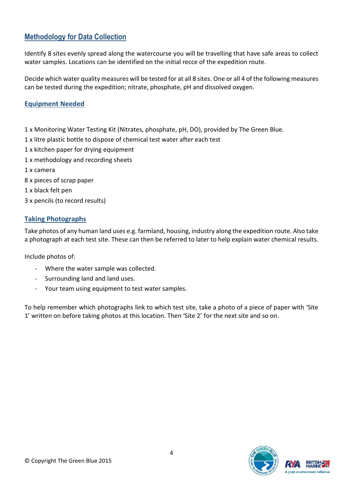# **Methodology for Data Collection**

Identify 8 sites evenly spread along the watercourse you will be travelling that have safe areas to collect water samples. Locations can be identified on the initial recce of the expedition route.

Decide which water quality measures will be tested for at all 8 sites. One or all 4 of the following measures can be tested during the expedition; nitrate, phosphate, pH and dissolved oxygen.

#### **Equipment Needed**

- 1 x Monitoring Water Testing Kit (Nitrates, phosphate, pH, DO), provided by The Green Blue.
- 1 x litre plastic bottle to dispose of chemical test water after each test
- 1 x kitchen paper for drying equipment
- 1 x methodology and recording sheets
- 1 x camera
- 8 x pieces of scrap paper
- 1 x black felt pen
- 3 x pencils (to record results)

#### **Taking Photographs**

Take photos of any human land uses e.g. farmland, housing, industry along the expedition route. Also take a photograph at each test site. These can then be referred to later to help explain water chemical results.

Include photos of:

- Where the water sample was collected.
- Surrounding land and land uses.
- Your team using equipment to test water samples.

To help remember which photographs link to which test site, take a photo of a piece of paper with 'Site 1' written on before taking photos at this location. Then 'Site 2' for the next site and so on.

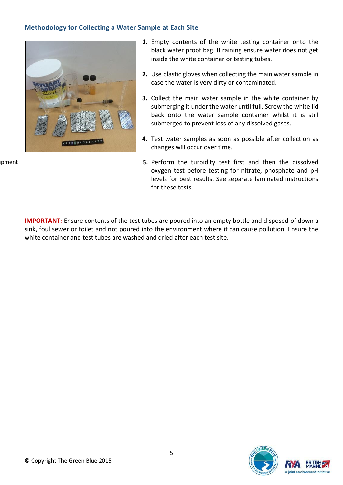#### **Methodology for Collecting a Water Sample at Each Site**



ipment

- **1.** Empty contents of the white testing container onto the black water proof bag. If raining ensure water does not get inside the white container or testing tubes.
- **2.** Use plastic gloves when collecting the main water sample in case the water is very dirty or contaminated.
- **3.** Collect the main water sample in the white container by submerging it under the water until full. Screw the white lid back onto the water sample container whilst it is still submerged to prevent loss of any dissolved gases.
- **4.** Test water samples as soon as possible after collection as changes will occur over time.
- **5.** Perform the turbidity test first and then the dissolved oxygen test before testing for nitrate, phosphate and pH levels for best results. See separate laminated instructions for these tests.

**IMPORTANT:** Ensure contents of the test tubes are poured into an empty bottle and disposed of down a sink, foul sewer or toilet and not poured into the environment where it can cause pollution. Ensure the white container and test tubes are washed and dried after each test site.

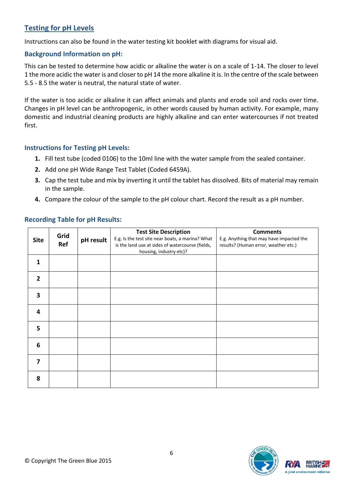## **Testing for pH Levels**

Instructions can also be found in the water testing kit booklet with diagrams for visual aid.

#### **Background Information on pH:**

This can be tested to determine how acidic or alkaline the water is on a scale of 1-14. The closer to level 1 the more acidic the water is and closer to pH 14 the more alkaline it is. In the centre of the scale between 5.5 - 8.5 the water is neutral, the natural state of water.

If the water is too acidic or alkaline it can affect animals and plants and erode soil and rocks over time. Changes in pH level can be anthropogenic, in other words caused by human activity. For example, many domestic and industrial cleaning products are highly alkaline and can enter watercourses if not treated first.

#### **Instructions for Testing pH Levels:**

- **1.** Fill test tube (coded 0106) to the 10ml line with the water sample from the sealed container.
- **2.** Add one pH Wide Range Test Tablet (Coded 6459A).
- **3.** Cap the test tube and mix by inverting it until the tablet has dissolved. Bits of material may remain in the sample.
- **4.** Compare the colour of the sample to the pH colour chart. Record the result as a pH number.

| <b>Site</b>             | Grid<br>Ref | pH result | <b>Test Site Description</b><br>E.g. Is the test site near boats, a marina? What<br>is the land use at sides of watercourse (fields,<br>housing, industry etc)? | <b>Comments</b><br>E.g. Anything that may have impacted the<br>results? (Human error, weather etc.) |
|-------------------------|-------------|-----------|-----------------------------------------------------------------------------------------------------------------------------------------------------------------|-----------------------------------------------------------------------------------------------------|
| 1                       |             |           |                                                                                                                                                                 |                                                                                                     |
| $\overline{2}$          |             |           |                                                                                                                                                                 |                                                                                                     |
| 3                       |             |           |                                                                                                                                                                 |                                                                                                     |
| $\overline{a}$          |             |           |                                                                                                                                                                 |                                                                                                     |
| 5                       |             |           |                                                                                                                                                                 |                                                                                                     |
| $6\phantom{1}6$         |             |           |                                                                                                                                                                 |                                                                                                     |
| $\overline{\mathbf{z}}$ |             |           |                                                                                                                                                                 |                                                                                                     |
| 8                       |             |           |                                                                                                                                                                 |                                                                                                     |

### **Recording Table for pH Results:**

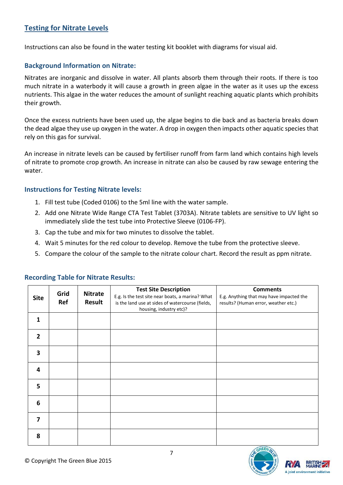## **Testing for Nitrate Levels**

Instructions can also be found in the water testing kit booklet with diagrams for visual aid.

#### **Background Information on Nitrate:**

Nitrates are inorganic and dissolve in water. All plants absorb them through their roots. If there is too much nitrate in a waterbody it will cause a growth in green algae in the water as it uses up the excess nutrients. This algae in the water reduces the amount of sunlight reaching aquatic plants which prohibits their growth.

Once the excess nutrients have been used up, the algae begins to die back and as bacteria breaks down the dead algae they use up oxygen in the water. A drop in oxygen then impacts other aquatic species that rely on this gas for survival.

An increase in nitrate levels can be caused by fertiliser runoff from farm land which contains high levels of nitrate to promote crop growth. An increase in nitrate can also be caused by raw sewage entering the water.

#### **Instructions for Testing Nitrate levels:**

- 1. Fill test tube (Coded 0106) to the 5ml line with the water sample.
- 2. Add one Nitrate Wide Range CTA Test Tablet (3703A). Nitrate tablets are sensitive to UV light so immediately slide the test tube into Protective Sleeve (0106-FP).
- 3. Cap the tube and mix for two minutes to dissolve the tablet.
- 4. Wait 5 minutes for the red colour to develop. Remove the tube from the protective sleeve.
- 5. Compare the colour of the sample to the nitrate colour chart. Record the result as ppm nitrate.

|                         | Grid | <b>Nitrate</b> | <b>Test Site Description</b>                     | <b>Comments</b>                          |
|-------------------------|------|----------------|--------------------------------------------------|------------------------------------------|
| <b>Site</b>             |      |                | E.g. Is the test site near boats, a marina? What | E.g. Anything that may have impacted the |
|                         | Ref  | <b>Result</b>  | is the land use at sides of watercourse (fields, | results? (Human error, weather etc.)     |
|                         |      |                | housing, industry etc)?                          |                                          |
| 1                       |      |                |                                                  |                                          |
| $\overline{2}$          |      |                |                                                  |                                          |
|                         |      |                |                                                  |                                          |
| 3                       |      |                |                                                  |                                          |
| 4                       |      |                |                                                  |                                          |
|                         |      |                |                                                  |                                          |
| 5                       |      |                |                                                  |                                          |
|                         |      |                |                                                  |                                          |
| 6                       |      |                |                                                  |                                          |
| $\overline{\mathbf{z}}$ |      |                |                                                  |                                          |
|                         |      |                |                                                  |                                          |
| 8                       |      |                |                                                  |                                          |

#### **Recording Table for Nitrate Results:**



ioint environment initiative

7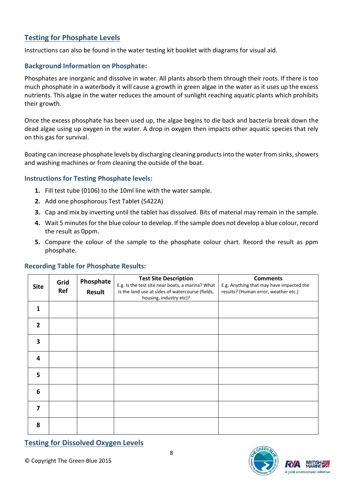## **Testing for Phosphate Levels**

Instructions can also be found in the water testing kit booklet with diagrams for visual aid.

#### **Background Information on Phosphate:**

Phosphates are inorganic and dissolve in water. All plants absorb them through their roots. If there is too much phosphate in a waterbody it will cause a growth in green algae in the water as it uses up the excess nutrients. This algae in the water reduces the amount of sunlight reaching aquatic plants which prohibits their growth.

Once the excess phosphate has been used up, the algae begins to die back and bacteria break down the dead algae using up oxygen in the water. A drop in oxygen then impacts other aquatic species that rely on this gas for survival.

Boating can increase phosphate levels by discharging cleaning products into the water from sinks, showers and washing machines or from cleaning the outside of the boat.

#### **Instructions for Testing Phosphate levels:**

- **1.** Fill test tube (0106) to the 10ml line with the water sample.
- **2.** Add one phosphorous Test Tablet (5422A)
- **3.** Cap and mix by inverting until the tablet has dissolved. Bits of material may remain in the sample.
- **4.** Wait 5 minutes for the blue colour to develop. If the sample does not develop a blue colour, record the result as 0ppm.
- **5.** Compare the colour of the sample to the phosphate colour chart. Record the result as ppm phosphate.

#### **Recording Table for Phosphate Results:**

| <b>Site</b>    | Grid<br>Ref | Phosphate<br><b>Result</b> | <b>Test Site Description</b><br>E.g. Is the test site near boats, a marina? What<br>is the land use at sides of watercourse (fields,<br>housing, industry etc)? | <b>Comments</b><br>E.g. Anything that may have impacted the<br>results? (Human error, weather etc.) |
|----------------|-------------|----------------------------|-----------------------------------------------------------------------------------------------------------------------------------------------------------------|-----------------------------------------------------------------------------------------------------|
| 1              |             |                            |                                                                                                                                                                 |                                                                                                     |
| $\overline{2}$ |             |                            |                                                                                                                                                                 |                                                                                                     |
| 3              |             |                            |                                                                                                                                                                 |                                                                                                     |
| 4              |             |                            |                                                                                                                                                                 |                                                                                                     |
| 5              |             |                            |                                                                                                                                                                 |                                                                                                     |
| 6              |             |                            |                                                                                                                                                                 |                                                                                                     |
| 7              |             |                            |                                                                                                                                                                 |                                                                                                     |
| 8              |             |                            |                                                                                                                                                                 |                                                                                                     |

**Testing for Dissolved Oxygen Levels**



**A** joint environment initiative

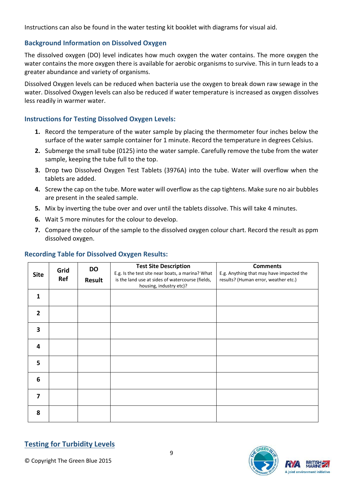Instructions can also be found in the water testing kit booklet with diagrams for visual aid.

#### **Background Information on Dissolved Oxygen**

The dissolved oxygen (DO) level indicates how much oxygen the water contains. The more oxygen the water contains the more oxygen there is available for aerobic organisms to survive. This in turn leads to a greater abundance and variety of organisms.

Dissolved Oxygen levels can be reduced when bacteria use the oxygen to break down raw sewage in the water. Dissolved Oxygen levels can also be reduced if water temperature is increased as oxygen dissolves less readily in warmer water.

#### **Instructions for Testing Dissolved Oxygen Levels:**

- **1.** Record the temperature of the water sample by placing the thermometer four inches below the surface of the water sample container for 1 minute. Record the temperature in degrees Celsius.
- **2.** Submerge the small tube (0125) into the water sample. Carefully remove the tube from the water sample, keeping the tube full to the top.
- **3.** Drop two Dissolved Oxygen Test Tablets (3976A) into the tube. Water will overflow when the tablets are added.
- **4.** Screw the cap on the tube. More water will overflow as the cap tightens. Make sure no air bubbles are present in the sealed sample.
- **5.** Mix by inverting the tube over and over until the tablets dissolve. This will take 4 minutes.
- **6.** Wait 5 more minutes for the colour to develop.
- **7.** Compare the colour of the sample to the dissolved oxygen colour chart. Record the result as ppm dissolved oxygen.

#### **Recording Table for Dissolved Oxygen Results:**

|                | Grid | <b>DO</b> | <b>Test Site Description</b>                                                | <b>Comments</b>                          |
|----------------|------|-----------|-----------------------------------------------------------------------------|------------------------------------------|
| <b>Site</b>    | Ref  |           | E.g. Is the test site near boats, a marina? What                            | E.g. Anything that may have impacted the |
|                |      | Result    | is the land use at sides of watercourse (fields,<br>housing, industry etc)? | results? (Human error, weather etc.)     |
| 1              |      |           |                                                                             |                                          |
|                |      |           |                                                                             |                                          |
| $\overline{2}$ |      |           |                                                                             |                                          |
| 3              |      |           |                                                                             |                                          |
| 4              |      |           |                                                                             |                                          |
| 5              |      |           |                                                                             |                                          |
| 6              |      |           |                                                                             |                                          |
| $\overline{7}$ |      |           |                                                                             |                                          |
| 8              |      |           |                                                                             |                                          |

# **Testing for Turbidity Levels**



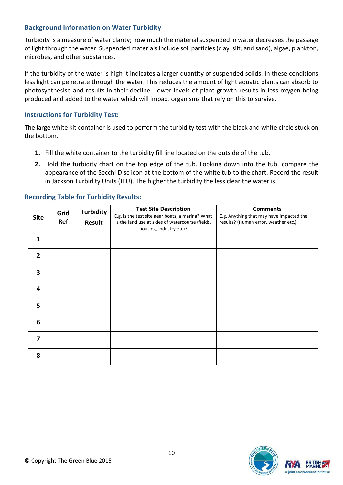#### **Background Information on Water Turbidity**

Turbidity is a measure of water clarity; how much the material suspended in water decreases the passage of light through the water. Suspended materials include soil particles (clay, silt, and sand), algae, plankton, microbes, and other substances.

If the turbidity of the water is high it indicates a larger quantity of suspended solids. In these conditions less light can penetrate through the water. This reduces the amount of light aquatic plants can absorb to photosynthesise and results in their decline. Lower levels of plant growth results in less oxygen being produced and added to the water which will impact organisms that rely on this to survive.

#### **Instructions for Turbidity Test:**

The large white kit container is used to perform the turbidity test with the black and white circle stuck on the bottom.

- **1.** Fill the white container to the turbidity fill line located on the outside of the tub.
- **2.** Hold the turbidity chart on the top edge of the tub. Looking down into the tub, compare the appearance of the Secchi Disc icon at the bottom of the white tub to the chart. Record the result in Jackson Turbidity Units (JTU). The higher the turbidity the less clear the water is.

| <b>Site</b>             | Grid<br>Ref | <b>Turbidity</b><br>Result | <b>Test Site Description</b><br>E.g. Is the test site near boats, a marina? What<br>is the land use at sides of watercourse (fields,<br>housing, industry etc)? | <b>Comments</b><br>E.g. Anything that may have impacted the<br>results? (Human error, weather etc.) |
|-------------------------|-------------|----------------------------|-----------------------------------------------------------------------------------------------------------------------------------------------------------------|-----------------------------------------------------------------------------------------------------|
| $\mathbf{1}$            |             |                            |                                                                                                                                                                 |                                                                                                     |
| $\overline{2}$          |             |                            |                                                                                                                                                                 |                                                                                                     |
| 3                       |             |                            |                                                                                                                                                                 |                                                                                                     |
| 4                       |             |                            |                                                                                                                                                                 |                                                                                                     |
| 5                       |             |                            |                                                                                                                                                                 |                                                                                                     |
| 6                       |             |                            |                                                                                                                                                                 |                                                                                                     |
| $\overline{\mathbf{z}}$ |             |                            |                                                                                                                                                                 |                                                                                                     |
| 8                       |             |                            |                                                                                                                                                                 |                                                                                                     |

#### **Recording Table for Turbidity Results:**

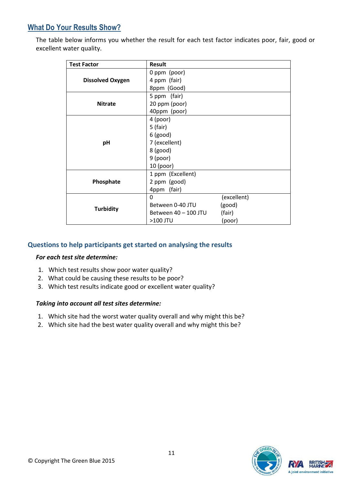# **What Do Your Results Show?**

The table below informs you whether the result for each test factor indicates poor, fair, good or excellent water quality.

| <b>Test Factor</b>      | <b>Result</b>        |             |
|-------------------------|----------------------|-------------|
|                         | 0 ppm (poor)         |             |
| <b>Dissolved Oxygen</b> | 4 ppm (fair)         |             |
|                         | 8ppm (Good)          |             |
|                         | 5 ppm (fair)         |             |
| <b>Nitrate</b>          | 20 ppm (poor)        |             |
|                         | 40ppm (poor)         |             |
|                         | 4 (poor)             |             |
|                         | $5$ (fair)           |             |
|                         | $6$ (good)           |             |
| pH                      | 7 (excellent)        |             |
|                         | $8$ (good)           |             |
|                         | $9$ (poor)           |             |
|                         | $10$ (poor)          |             |
|                         | 1 ppm (Excellent)    |             |
| Phosphate               | 2 ppm (good)         |             |
|                         | 4ppm (fair)          |             |
|                         | 0                    | (excellent) |
| <b>Turbidity</b>        | Between 0-40 JTU     | (good)      |
|                         | Between 40 - 100 JTU | (fair)      |
|                         | >100 JTU             | (poor)      |

#### **Questions to help participants get started on analysing the results**

#### *For each test site determine:*

- 1. Which test results show poor water quality?
- 2. What could be causing these results to be poor?
- 3. Which test results indicate good or excellent water quality?

#### *Taking into account all test sites determine:*

- 1. Which site had the worst water quality overall and why might this be?
- 2. Which site had the best water quality overall and why might this be?

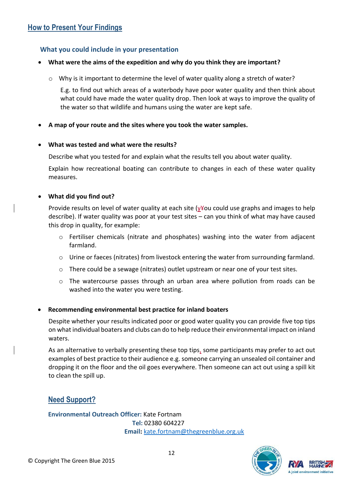#### **What you could include in your presentation**

#### **What were the aims of the expedition and why do you think they are important?**

o Why is it important to determine the level of water quality along a stretch of water?

E.g. to find out which areas of a waterbody have poor water quality and then think about what could have made the water quality drop. Then look at ways to improve the quality of the water so that wildlife and humans using the water are kept safe.

#### **A map of your route and the sites where you took the water samples.**

#### **What was tested and what were the results?**

Describe what you tested for and explain what the results tell you about water quality.

Explain how recreational boating can contribute to changes in each of these water quality measures.

#### **What did you find out?**

Provide results on level of water quality at each site (y¥ou could use graphs and images to help describe). If water quality was poor at your test sites – can you think of what may have caused this drop in quality, for example:

- o Fertiliser chemicals (nitrate and phosphates) washing into the water from adjacent farmland.
- o Urine or faeces (nitrates) from livestock entering the water from surrounding farmland.
- o There could be a sewage (nitrates) outlet upstream or near one of your test sites.
- $\circ$  The watercourse passes through an urban area where pollution from roads can be washed into the water you were testing.

#### **Recommending environmental best practice for inland boaters**

Despite whether your results indicated poor or good water quality you can provide five top tips on what individual boaters and clubs can do to help reduce their environmental impact on inland waters.

As an alternative to verbally presenting these top tips, some participants may prefer to act out examples of best practice to their audience e.g. someone carrying an unsealed oil container and dropping it on the floor and the oil goes everywhere. Then someone can act out using a spill kit to clean the spill up.

#### **Need Support?**

**Environmental Outreach Officer:** Kate Fortnam **Tel:** [02380](tel:02380) 604227  **Email:** [kate.fortnam@thegreenblue.org.uk](mailto:kate.fortnam@thegreenblue.org.uk)